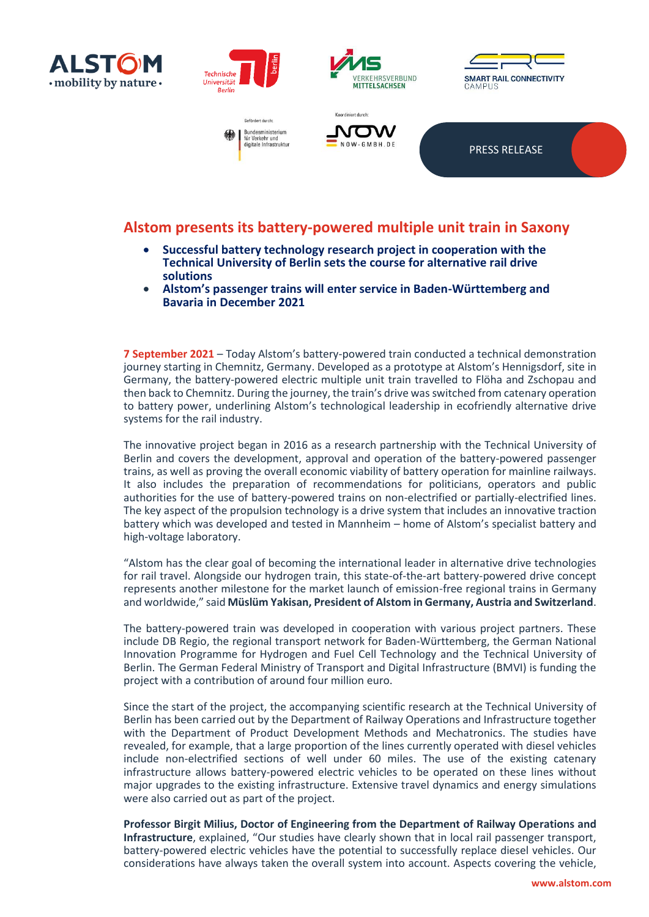











PRESS RELEASE

## **Alstom presents its battery-powered multiple unit train in Saxony**

- **Successful battery technology research project in cooperation with the Technical University of Berlin sets the course for alternative rail drive solutions**
- **Alstom's passenger trains will enter service in Baden-Württemberg and Bavaria in December 2021**

**7 September 2021** – Today Alstom's battery-powered train conducted a technical demonstration journey starting in Chemnitz, Germany. Developed as a prototype at Alstom's Hennigsdorf, site in Germany, the battery-powered electric multiple unit train travelled to Flöha and Zschopau and then back to Chemnitz. During the journey, the train's drive was switched from catenary operation to battery power, underlining Alstom's technological leadership in ecofriendly alternative drive systems for the rail industry.

The innovative project began in 2016 as a research partnership with the Technical University of Berlin and covers the development, approval and operation of the battery-powered passenger trains, as well as proving the overall economic viability of battery operation for mainline railways. It also includes the preparation of recommendations for politicians, operators and public authorities for the use of battery-powered trains on non-electrified or partially-electrified lines. The key aspect of the propulsion technology is a drive system that includes an innovative traction battery which was developed and tested in Mannheim – home of Alstom's specialist battery and high-voltage laboratory.

"Alstom has the clear goal of becoming the international leader in alternative drive technologies for rail travel. Alongside our hydrogen train, this state-of-the-art battery-powered drive concept represents another milestone for the market launch of emission-free regional trains in Germany and worldwide," said **Müslüm Yakisan, President of Alstom in Germany, Austria and Switzerland**.

The battery-powered train was developed in cooperation with various project partners. These include DB Regio, the regional transport network for Baden-Württemberg, the German National Innovation Programme for Hydrogen and Fuel Cell Technology and the Technical University of Berlin. The German Federal Ministry of Transport and Digital Infrastructure (BMVI) is funding the project with a contribution of around four million euro.

Since the start of the project, the accompanying scientific research at the Technical University of Berlin has been carried out by the Department of Railway Operations and Infrastructure together with the Department of Product Development Methods and Mechatronics. The studies have revealed, for example, that a large proportion of the lines currently operated with diesel vehicles include non-electrified sections of well under 60 miles. The use of the existing catenary infrastructure allows battery-powered electric vehicles to be operated on these lines without major upgrades to the existing infrastructure. Extensive travel dynamics and energy simulations were also carried out as part of the project.

**Professor Birgit Milius, Doctor of Engineering from the Department of Railway Operations and Infrastructure**, explained, "Our studies have clearly shown that in local rail passenger transport, battery-powered electric vehicles have the potential to successfully replace diesel vehicles. Our considerations have always taken the overall system into account. Aspects covering the vehicle,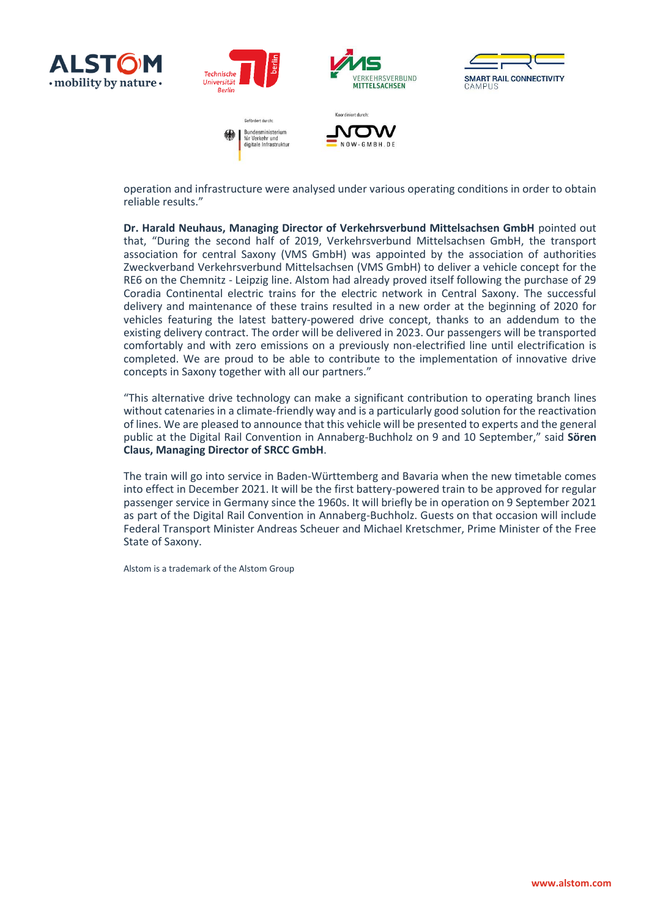



SMART RAIL CONNECTIVITY  $CAMPIIS$ 

operation and infrastructure were analysed under various operating conditions in order to obtain reliable results."

**Dr. Harald Neuhaus, Managing Director of Verkehrsverbund Mittelsachsen GmbH** pointed out that, "During the second half of 2019, Verkehrsverbund Mittelsachsen GmbH, the transport association for central Saxony (VMS GmbH) was appointed by the association of authorities Zweckverband Verkehrsverbund Mittelsachsen (VMS GmbH) to deliver a vehicle concept for the RE6 on the Chemnitz - Leipzig line. Alstom had already proved itself following the purchase of 29 Coradia Continental electric trains for the electric network in Central Saxony. The successful delivery and maintenance of these trains resulted in a new order at the beginning of 2020 for vehicles featuring the latest battery-powered drive concept, thanks to an addendum to the existing delivery contract. The order will be delivered in 2023. Our passengers will be transported comfortably and with zero emissions on a previously non-electrified line until electrification is completed. We are proud to be able to contribute to the implementation of innovative drive concepts in Saxony together with all our partners."

"This alternative drive technology can make a significant contribution to operating branch lines without catenaries in a climate-friendly way and is a particularly good solution for the reactivation of lines. We are pleased to announce that this vehicle will be presented to experts and the general public at the Digital Rail Convention in Annaberg-Buchholz on 9 and 10 September," said **Sören Claus, Managing Director of SRCC GmbH**.

The train will go into service in Baden-Württemberg and Bavaria when the new timetable comes into effect in December 2021. It will be the first battery-powered train to be approved for regular passenger service in Germany since the 1960s. It will briefly be in operation on 9 September 2021 as part of the Digital Rail Convention in Annaberg-Buchholz. Guests on that occasion will include Federal Transport Minister Andreas Scheuer and Michael Kretschmer, Prime Minister of the Free State of Saxony.

Alstom is a trademark of the Alstom Group